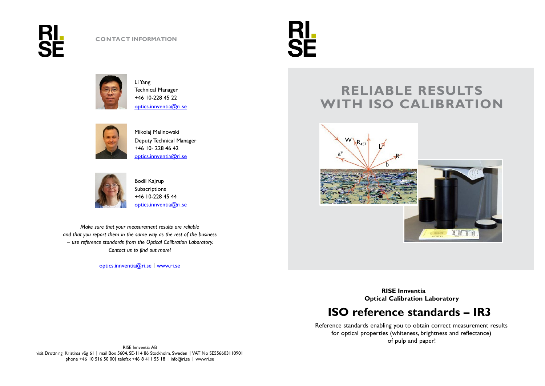





Li Yang Technical Manager +46 10-228 45 2[2](mailto:%20optics.innventia@ri.se) [optics.innventia@ri.se](mailto:%20optics.innventia@ri.se)



Mikolaj Malinowski Deputy Technical Manager Washington and the contract of the contract of the contract of the contract of the contract of the contract of the contract of the contract of the contract of the contract of the contract of the co +46 10- 228 46 42  $optics.innventia@rise$ 



Bodil Kajrup Subscriptions +46 10-228 45 44 [optics.innventia@ri.se](mailto:optics.innventia@ri.sem)

*Make sure that your measurement results are reliable and that you report them in the same way as the rest of the business – use reference standards from the Optical Calibration Laboratory. Contact us to find out more!*

[optics.innventia@ri.se](mailto:optics.innventia@ri.se) **|** [www.ri.se](http://www.ri.se/)

# **RELIABLE RESULTS WITH ISO CALIBRATION**



**RISE Innventia Optical Calibration Laboratory**

## **ISO reference standards – IR3**

Reference standards enabling you to obtain correct measurement results for optical properties (whiteness, brightness and reflectance) of pulp and paper!

RISE Innventia AB visit Drottning Kristinas väg 61 | mail Box 5604, SE-114 86 Stockholm, Sweden | VAT No SE556603110901 phone +46 10 516 50 00| telefax +46 8 411 55 18 | info@ri.se | www.ri.se